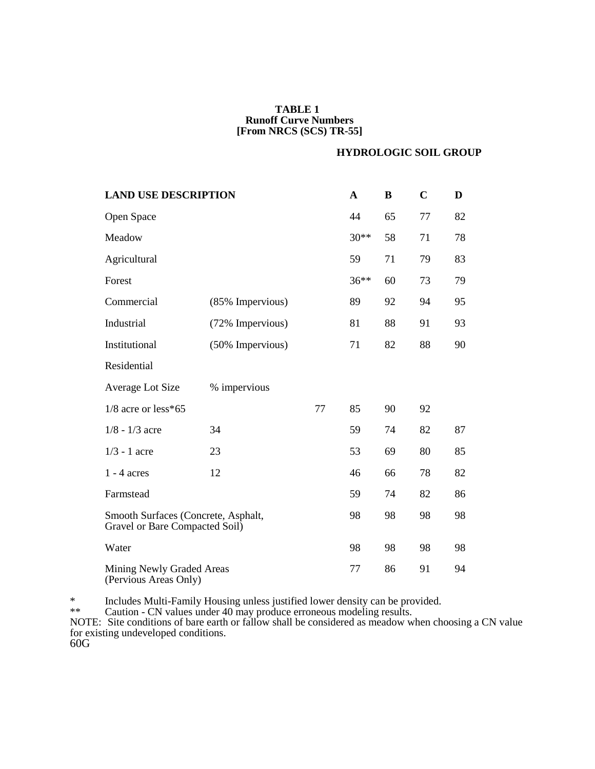## **TABLE 1 Runoff Curve Numbers [From NRCS (SCS) TR-55]**

### **HYDROLOGIC SOIL GROUP**

| <b>LAND USE DESCRIPTION</b>                                           | $\mathbf A$  | B  | $\mathbf C$ | D  |    |    |
|-----------------------------------------------------------------------|--------------|----|-------------|----|----|----|
| Open Space                                                            |              |    | 44          | 65 | 77 | 82 |
| Meadow                                                                | $30**$       | 58 | 71          | 78 |    |    |
| Agricultural                                                          |              | 59 | 71          | 79 | 83 |    |
| Forest                                                                | $36***$      | 60 | 73          | 79 |    |    |
| Commercial                                                            |              | 89 | 92          | 94 | 95 |    |
| Industrial                                                            |              | 81 | 88          | 91 | 93 |    |
| Institutional                                                         |              | 71 | 82          | 88 | 90 |    |
| Residential                                                           |              |    |             |    |    |    |
| Average Lot Size                                                      | % impervious |    |             |    |    |    |
| $1/8$ acre or less*65                                                 |              | 77 | 85          | 90 | 92 |    |
| $1/8 - 1/3$ acre                                                      | 34           |    | 59          | 74 | 82 | 87 |
| $1/3 - 1$ acre                                                        | 23           |    | 53          | 69 | 80 | 85 |
| $1 - 4$ acres                                                         | 12           |    | 46          | 66 | 78 | 82 |
| Farmstead                                                             |              | 59 | 74          | 82 | 86 |    |
| Smooth Surfaces (Concrete, Asphalt,<br>Gravel or Bare Compacted Soil) |              | 98 | 98          | 98 | 98 |    |
| Water                                                                 |              | 98 | 98          | 98 | 98 |    |
| Mining Newly Graded Areas<br>(Pervious Areas Only)                    |              | 77 | 86          | 91 | 94 |    |

\* Includes Multi-Family Housing unless justified lower density can be provided.

\*\* Caution - CN values under 40 may produce erroneous modeling results.

NOTE: Site conditions of bare earth or fallow shall be considered as meadow when choosing a CN value for existing undeveloped conditions.

60G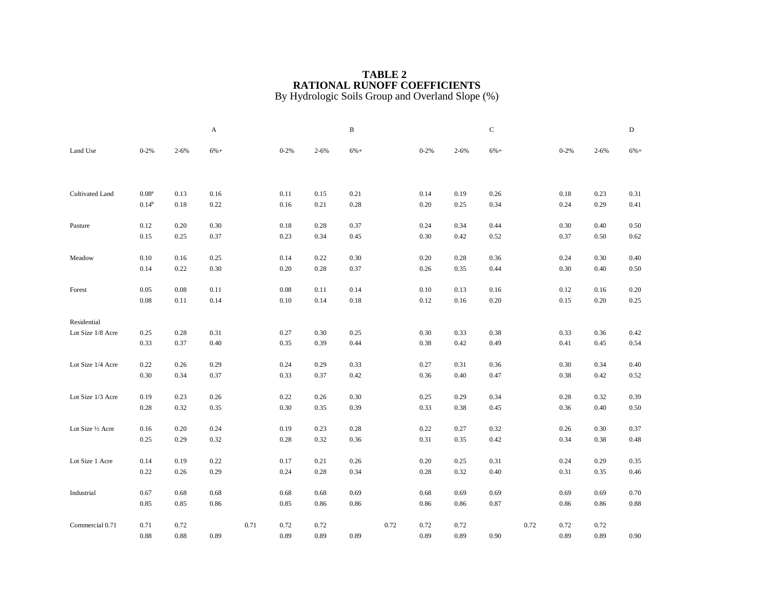### **TABLE 2 RATIONAL RUNOFF COEFFICIENTS** By Hydrologic Soils Group and Overland Slope (%)

|                   |                   |           | A        |      |          |           | $\, {\bf B}$ |      |          |           | $\mathbf C$ |      |          |          | $\mathbf D$ |
|-------------------|-------------------|-----------|----------|------|----------|-----------|--------------|------|----------|-----------|-------------|------|----------|----------|-------------|
| Land Use          | $0 - 2%$          | $2 - 6\%$ | $6%+$    |      | $0 - 2%$ | $2 - 6\%$ | $6%+$        |      | $0 - 2%$ | $2 - 6\%$ | $6%+$       |      | $0 - 2%$ | $2 - 6%$ | $6%+$       |
|                   |                   |           |          |      |          |           |              |      |          |           |             |      |          |          |             |
| Cultivated Land   | 0.08 <sup>a</sup> | 0.13      | $0.16\,$ |      | 0.11     | 0.15      | 0.21         |      | 0.14     | 0.19      | 0.26        |      | 0.18     | 0.23     | 0.31        |
|                   | $0.14^{b}$        | 0.18      | 0.22     |      | 0.16     | 0.21      | 0.28         |      | 0.20     | 0.25      | 0.34        |      | 0.24     | 0.29     | 0.41        |
| Pasture           | 0.12              | 0.20      | 0.30     |      | 0.18     | 0.28      | 0.37         |      | 0.24     | 0.34      | 0.44        |      | 0.30     | 0.40     | 0.50        |
|                   | 0.15              | 0.25      | 0.37     |      | 0.23     | 0.34      | 0.45         |      | 0.30     | 0.42      | 0.52        |      | 0.37     | 0.50     | 0.62        |
|                   | $0.10\,$          | $0.16\,$  | 0.25     |      | 0.14     | 0.22      | 0.30         |      | 0.20     | 0.28      | 0.36        |      | 0.24     | 0.30     | 0.40        |
| Meadow            | 0.14              | 0.22      | 0.30     |      | 0.20     | 0.28      | 0.37         |      | 0.26     | 0.35      | 0.44        |      | 0.30     | 0.40     | 0.50        |
|                   |                   |           |          |      |          |           |              |      |          |           |             |      |          |          |             |
| Forest            | 0.05              | 0.08      | 0.11     |      | $0.08\,$ | 0.11      | 0.14         |      | 0.10     | 0.13      | 0.16        |      | 0.12     | 0.16     | 0.20        |
|                   | $0.08\,$          | 0.11      | 0.14     |      | $0.10\,$ | 0.14      | $0.18\,$     |      | 0.12     | $0.16\,$  | $0.20\,$    |      | 0.15     | 0.20     | 0.25        |
| Residential       |                   |           |          |      |          |           |              |      |          |           |             |      |          |          |             |
| Lot Size 1/8 Acre | 0.25              | $0.28\,$  | 0.31     |      | 0.27     | $0.30\,$  | 0.25         |      | $0.30\,$ | 0.33      | $0.38\,$    |      | 0.33     | 0.36     | 0.42        |
|                   | 0.33              | 0.37      | 0.40     |      | 0.35     | 0.39      | 0.44         |      | 0.38     | 0.42      | 0.49        |      | 0.41     | 0.45     | 0.54        |
| Lot Size 1/4 Acre | 0.22              | 0.26      | 0.29     |      | 0.24     | 0.29      | 0.33         |      | 0.27     | 0.31      | 0.36        |      | 0.30     | 0.34     | 0.40        |
|                   | 0.30              | 0.34      | 0.37     |      | 0.33     | 0.37      | 0.42         |      | 0.36     | 0.40      | 0.47        |      | 0.38     | 0.42     | 0.52        |
| Lot Size 1/3 Acre | 0.19              | 0.23      | 0.26     |      | 0.22     | 0.26      | 0.30         |      | 0.25     | 0.29      | 0.34        |      | 0.28     | 0.32     | 0.39        |
|                   | 0.28              | 0.32      | 0.35     |      | 0.30     | 0.35      | 0.39         |      | 0.33     | 0.38      | 0.45        |      | 0.36     | 0.40     | 0.50        |
| Lot Size 1/2 Acre | 0.16              | 0.20      | 0.24     |      | 0.19     | 0.23      | 0.28         |      | 0.22     | 0.27      | 0.32        |      | 0.26     | 0.30     | 0.37        |
|                   | 0.25              | 0.29      | 0.32     |      | 0.28     | 0.32      | 0.36         |      | 0.31     | 0.35      | 0.42        |      | 0.34     | 0.38     | 0.48        |
|                   |                   |           |          |      |          |           |              |      |          |           |             |      |          |          |             |
| Lot Size 1 Acre   | 0.14              | 0.19      | 0.22     |      | 0.17     | 0.21      | 0.26         |      | 0.20     | 0.25      | 0.31        |      | 0.24     | 0.29     | 0.35        |
|                   | $0.22\,$          | 0.26      | 0.29     |      | 0.24     | 0.28      | 0.34         |      | 0.28     | 0.32      | 0.40        |      | 0.31     | 0.35     | 0.46        |
| Industrial        | 0.67              | 0.68      | 0.68     |      | 0.68     | 0.68      | 0.69         |      | 0.68     | 0.69      | 0.69        |      | 0.69     | 0.69     | 0.70        |
|                   | 0.85              | 0.85      | 0.86     |      | 0.85     | 0.86      | 0.86         |      | 0.86     | 0.86      | 0.87        |      | 0.86     | 0.86     | 0.88        |
|                   |                   |           |          |      |          |           |              |      |          |           |             |      |          |          |             |
| Commercial 0.71   | 0.71              | 0.72      |          | 0.71 | 0.72     | 0.72      |              | 0.72 | 0.72     | 0.72      |             | 0.72 | 0.72     | 0.72     |             |
|                   | 0.88              | 0.88      | 0.89     |      | 0.89     | 0.89      | 0.89         |      | 0.89     | 0.89      | 0.90        |      | 0.89     | 0.89     | 0.90        |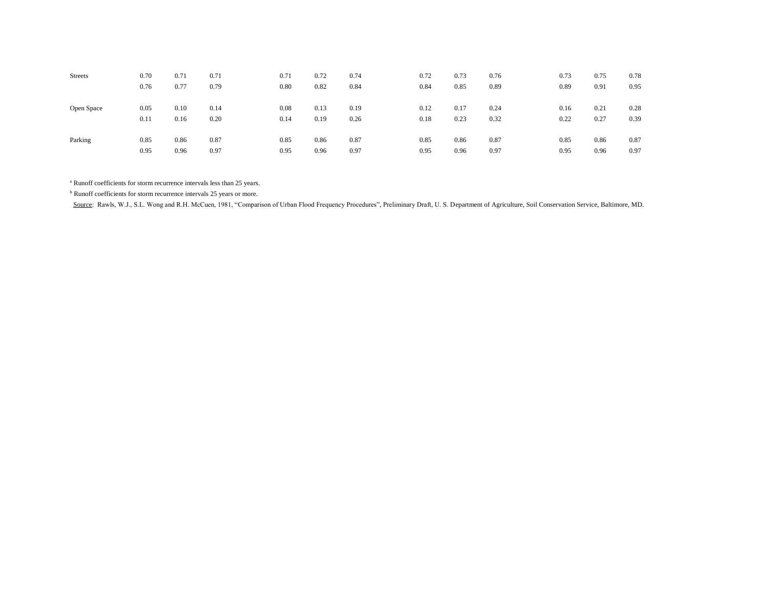| <b>Streets</b> | 0.70 | 0.71 | 0.71 | 0.71 | 0.72 | 0.74 | 0.72 | 0.73 | 0.76 | 0.73 | 0.75 | 0.78 |
|----------------|------|------|------|------|------|------|------|------|------|------|------|------|
|                | 0.76 | 0.77 | 0.79 | 0.80 | 0.82 | 0.84 | 0.84 | 0.85 | 0.89 | 0.89 | 0.91 | 0.95 |
|                |      |      |      |      |      |      |      |      |      |      |      |      |
| Open Space     | 0.05 | 0.10 | 0.14 | 0.08 | 0.13 | 0.19 | 0.12 | 0.17 | 0.24 | 0.16 | 0.21 | 0.28 |
|                | 0.11 | 0.16 | 0.20 | 0.14 | 0.19 | 0.26 | 0.18 | 0.23 | 0.32 | 0.22 | 0.27 | 0.39 |
|                |      |      |      |      |      |      |      |      |      |      |      |      |
| Parking        | 0.85 | 0.86 | 0.87 | 0.85 | 0.86 | 0.87 | 0.85 | 0.86 | 0.87 | 0.85 | 0.86 | 0.87 |
|                | 0.95 | 0.96 | 0.97 | 0.95 | 0.96 | 0.97 | 0.95 | 0.96 | 0.97 | 0.95 | 0.96 | 0.97 |

<sup>a</sup> Runoff coefficients for storm recurrence intervals less than 25 years.

<sup>b</sup> Runoff coefficients for storm recurrence intervals 25 years or more.

Source: Rawls, W.J., S.L. Wong and R.H. McCuen, 1981, "Comparison of Urban Flood Frequency Procedures", Preliminary Draft, U. S. Department of Agriculture, Soil Conservation Service, Baltimore, MD.